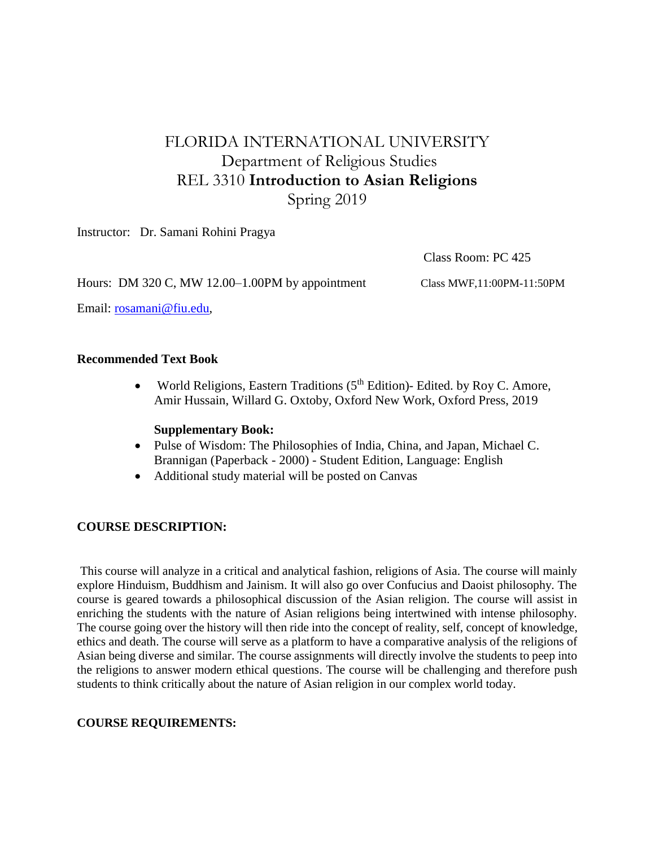## FLORIDA INTERNATIONAL UNIVERSITY Department of Religious Studies REL 3310 **Introduction to Asian Religions** Spring 2019

Instructor: Dr. Samani Rohini Pragya

Class Room: PC 425

Hours: DM 320 C, MW 12.00–1.00PM by appointment Class MWF,11:00PM-11:50PM

Email: [rosamani@fiu.edu,](mailto:rosamani@fiu.edu)

#### **Recommended Text Book**

• World Religions, Eastern Traditions  $(5<sup>th</sup> Edition)$ - Edited. by Roy C. Amore, Amir Hussain, Willard G. Oxtoby, Oxford New Work, Oxford Press, 2019

#### **Supplementary Book:**

- [Pulse of Wisdom: The Philosophies of India, China, and Japan,](http://www.amazon.com/Pulse-Wisdom-Philosophies-India-Japan-Textbook/dp/0534746713/ref=sr_1_2?ie=UTF8&s=books&qid=1225387821&sr=1-2) Michael C. Brannigan (Paperback - 2000) - Student Edition, Language: English
- Additional study material will be posted on Canvas

#### **COURSE DESCRIPTION:**

This course will analyze in a critical and analytical fashion, religions of Asia. The course will mainly explore Hinduism, Buddhism and Jainism. It will also go over Confucius and Daoist philosophy. The course is geared towards a philosophical discussion of the Asian religion. The course will assist in enriching the students with the nature of Asian religions being intertwined with intense philosophy. The course going over the history will then ride into the concept of reality, self, concept of knowledge, ethics and death. The course will serve as a platform to have a comparative analysis of the religions of Asian being diverse and similar. The course assignments will directly involve the students to peep into the religions to answer modern ethical questions. The course will be challenging and therefore push students to think critically about the nature of Asian religion in our complex world today.

#### **COURSE REQUIREMENTS:**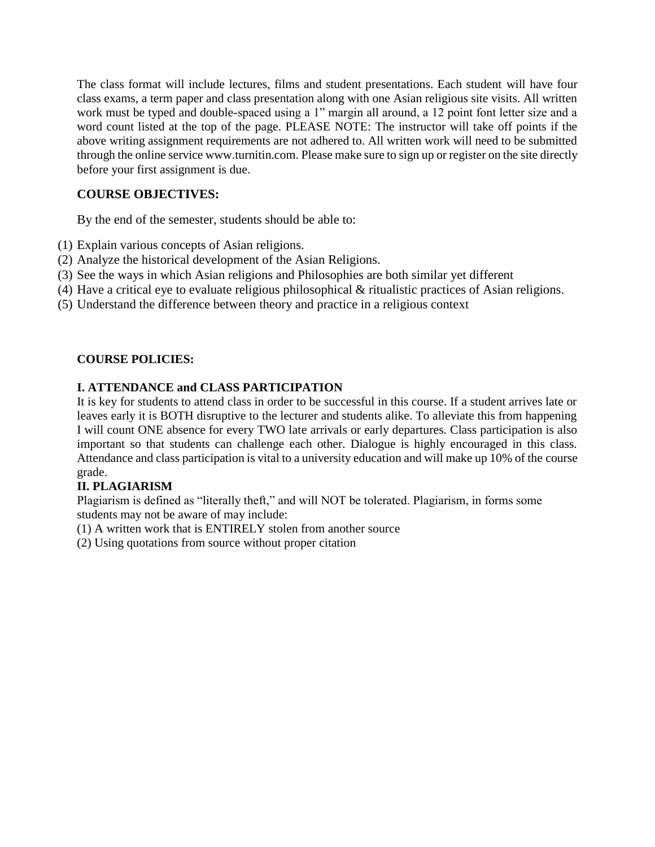The class format will include lectures, films and student presentations. Each student will have four class exams, a term paper and class presentation along with one Asian religious site visits. All written work must be typed and double-spaced using a 1" margin all around, a 12 point font letter size and a word count listed at the top of the page. PLEASE NOTE: The instructor will take off points if the above writing assignment requirements are not adhered to. All written work will need to be submitted through the online service www.turnitin.com. Please make sure to sign up or register on the site directly before your first assignment is due.

### **COURSE OBJECTIVES:**

By the end of the semester, students should be able to:

(1) Explain various concepts of Asian religions.

- (2) Analyze the historical development of the Asian Religions.
- (3) See the ways in which Asian religions and Philosophies are both similar yet different
- (4) Have a critical eye to evaluate religious philosophical & ritualistic practices of Asian religions.
- (5) Understand the difference between theory and practice in a religious context

#### **COURSE POLICIES:**

#### **I. ATTENDANCE and CLASS PARTICIPATION**

It is key for students to attend class in order to be successful in this course. If a student arrives late or leaves early it is BOTH disruptive to the lecturer and students alike. To alleviate this from happening I will count ONE absence for every TWO late arrivals or early departures. Class participation is also important so that students can challenge each other. Dialogue is highly encouraged in this class. Attendance and class participation is vital to a university education and will make up 10% of the course grade.

#### **II. PLAGIARISM**

Plagiarism is defined as "literally theft," and will NOT be tolerated. Plagiarism, in forms some students may not be aware of may include:

(1) A written work that is ENTIRELY stolen from another source

(2) Using quotations from source without proper citation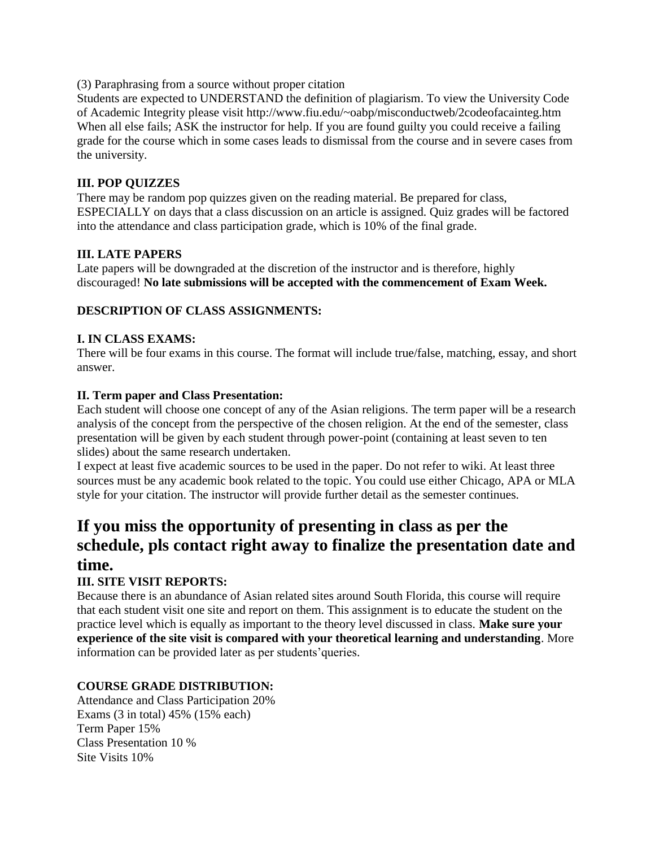(3) Paraphrasing from a source without proper citation

Students are expected to UNDERSTAND the definition of plagiarism. To view the University Code of Academic Integrity please visit http://www.fiu.edu/~oabp/misconductweb/2codeofacainteg.htm When all else fails; ASK the instructor for help. If you are found guilty you could receive a failing grade for the course which in some cases leads to dismissal from the course and in severe cases from the university.

#### **III. POP QUIZZES**

There may be random pop quizzes given on the reading material. Be prepared for class, ESPECIALLY on days that a class discussion on an article is assigned. Quiz grades will be factored into the attendance and class participation grade, which is 10% of the final grade.

#### **III. LATE PAPERS**

Late papers will be downgraded at the discretion of the instructor and is therefore, highly discouraged! **No late submissions will be accepted with the commencement of Exam Week.** 

#### **DESCRIPTION OF CLASS ASSIGNMENTS:**

#### **I. IN CLASS EXAMS:**

There will be four exams in this course. The format will include true/false, matching, essay, and short answer.

#### **II. Term paper and Class Presentation:**

Each student will choose one concept of any of the Asian religions. The term paper will be a research analysis of the concept from the perspective of the chosen religion. At the end of the semester, class presentation will be given by each student through power-point (containing at least seven to ten slides) about the same research undertaken.

I expect at least five academic sources to be used in the paper. Do not refer to wiki. At least three sources must be any academic book related to the topic. You could use either Chicago, APA or MLA style for your citation. The instructor will provide further detail as the semester continues.

# **If you miss the opportunity of presenting in class as per the schedule, pls contact right away to finalize the presentation date and time.**

#### **III. SITE VISIT REPORTS:**

Because there is an abundance of Asian related sites around South Florida, this course will require that each student visit one site and report on them. This assignment is to educate the student on the practice level which is equally as important to the theory level discussed in class. **Make sure your experience of the site visit is compared with your theoretical learning and understanding**. More information can be provided later as per students'queries.

#### **COURSE GRADE DISTRIBUTION:**

Attendance and Class Participation 20% Exams (3 in total) 45% (15% each) Term Paper 15% Class Presentation 10 % Site Visits 10%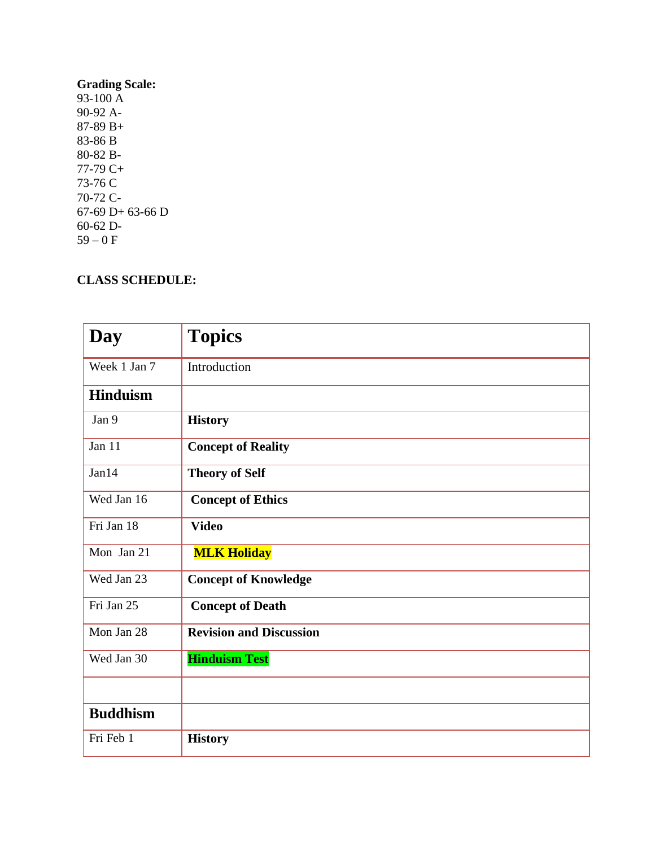#### **Grading Scale:**  93-100 A 90-92 A-87-89 B+ 83-86 B 80-82 B-77-79 C+ 73-76 C 70-72 C-67-69 D+ 63-66 D 60-62 D-59 – 0 F

## **CLASS SCHEDULE:**

| <b>Day</b>      | <b>Topics</b>                  |
|-----------------|--------------------------------|
| Week 1 Jan 7    | Introduction                   |
| <b>Hinduism</b> |                                |
| Jan 9           | <b>History</b>                 |
| Jan 11          | <b>Concept of Reality</b>      |
| Jan14           | <b>Theory of Self</b>          |
| Wed Jan 16      | <b>Concept of Ethics</b>       |
| Fri Jan 18      | <b>Video</b>                   |
| Mon Jan 21      | <b>MLK Holiday</b>             |
| Wed Jan 23      | <b>Concept of Knowledge</b>    |
| Fri Jan 25      | <b>Concept of Death</b>        |
| Mon Jan 28      | <b>Revision and Discussion</b> |
| Wed Jan 30      | <b>Hinduism Test</b>           |
|                 |                                |
| <b>Buddhism</b> |                                |
| Fri Feb 1       | <b>History</b>                 |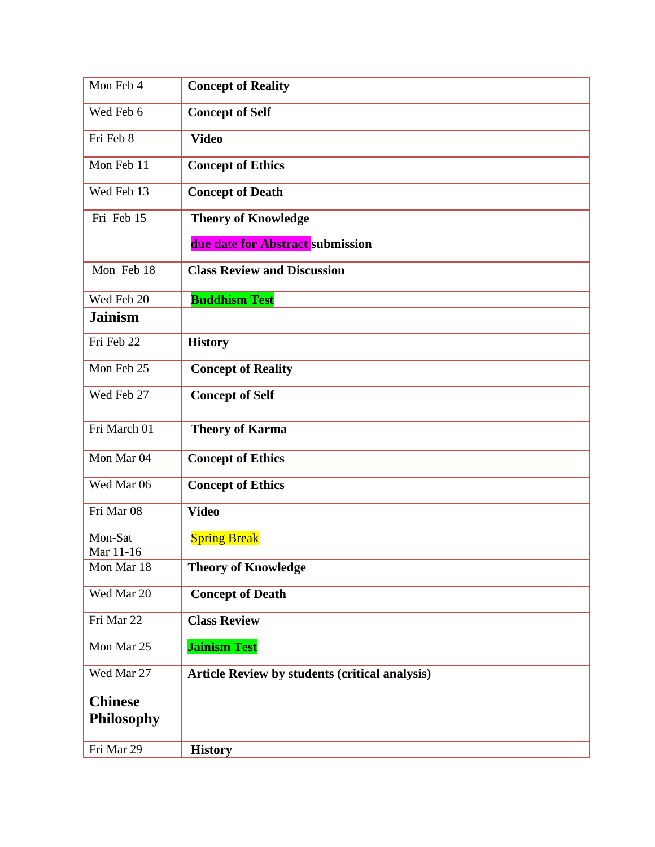| Mon Feb 4                           | <b>Concept of Reality</b>                             |
|-------------------------------------|-------------------------------------------------------|
| Wed Feb 6                           | <b>Concept of Self</b>                                |
| Fri Feb 8                           | <b>Video</b>                                          |
| Mon Feb 11                          | <b>Concept of Ethics</b>                              |
| Wed Feb 13                          | <b>Concept of Death</b>                               |
| Fri Feb 15                          | <b>Theory of Knowledge</b>                            |
|                                     | due date for Abstract submission                      |
| Mon Feb 18                          | <b>Class Review and Discussion</b>                    |
| Wed Feb 20                          | <b>Buddhism Test</b>                                  |
| <b>Jainism</b>                      |                                                       |
| Fri Feb 22                          | <b>History</b>                                        |
| Mon Feb 25                          | <b>Concept of Reality</b>                             |
| Wed Feb 27                          | <b>Concept of Self</b>                                |
| Fri March 01                        | <b>Theory of Karma</b>                                |
| Mon Mar 04                          | <b>Concept of Ethics</b>                              |
| Wed Mar 06                          | <b>Concept of Ethics</b>                              |
| Fri Mar 08                          | <b>Video</b>                                          |
| Mon-Sat<br>Mar 11-16                | <b>Spring Break</b>                                   |
| Mon Mar 18                          | <b>Theory of Knowledge</b>                            |
| Wed Mar 20                          | <b>Concept of Death</b>                               |
| Fri Mar 22                          | <b>Class Review</b>                                   |
| Mon Mar 25                          | <b>Jainism Test</b>                                   |
| Wed Mar 27                          | <b>Article Review by students (critical analysis)</b> |
| <b>Chinese</b><br><b>Philosophy</b> |                                                       |
| Fri Mar 29                          | <b>History</b>                                        |